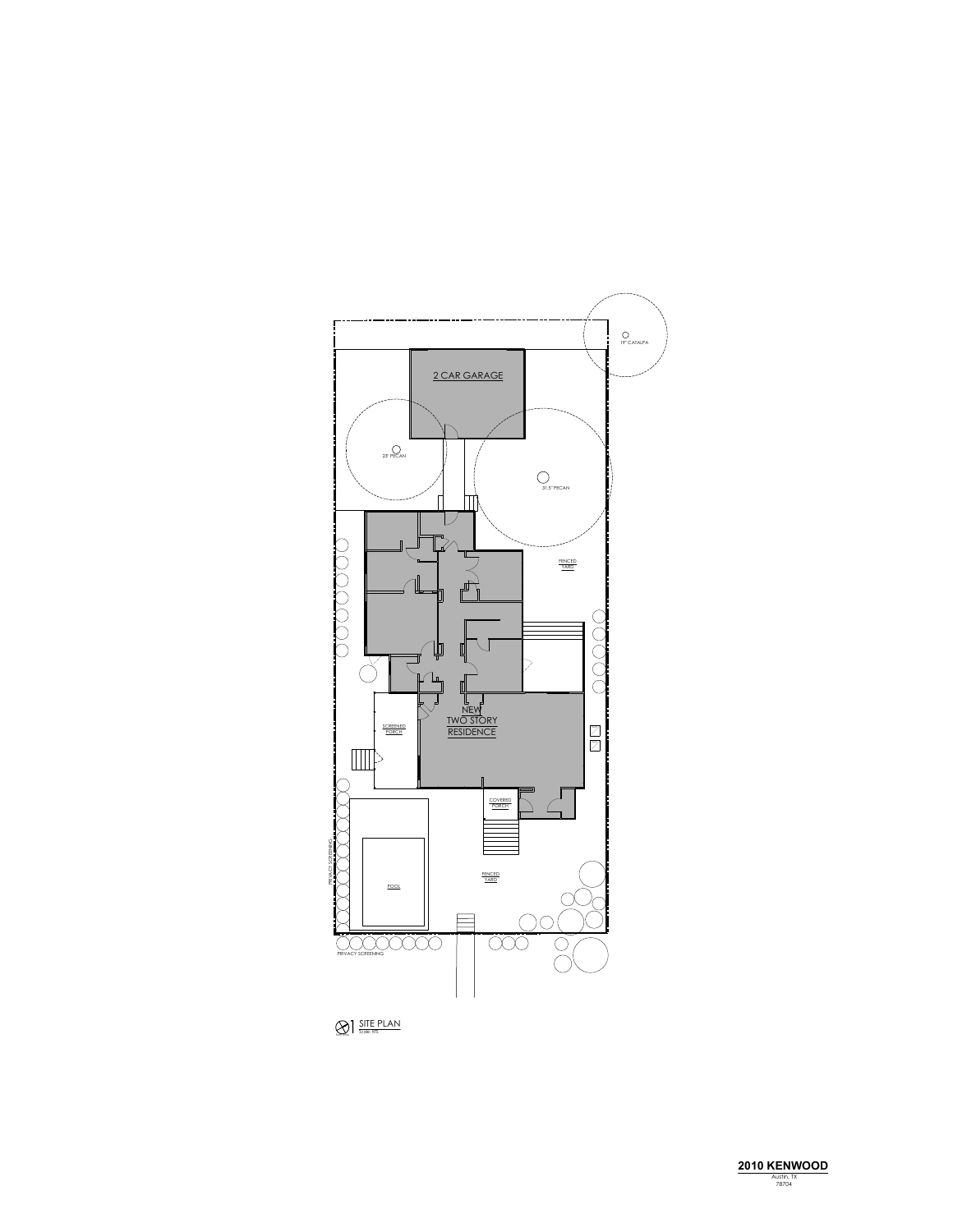

**SITE PLAN**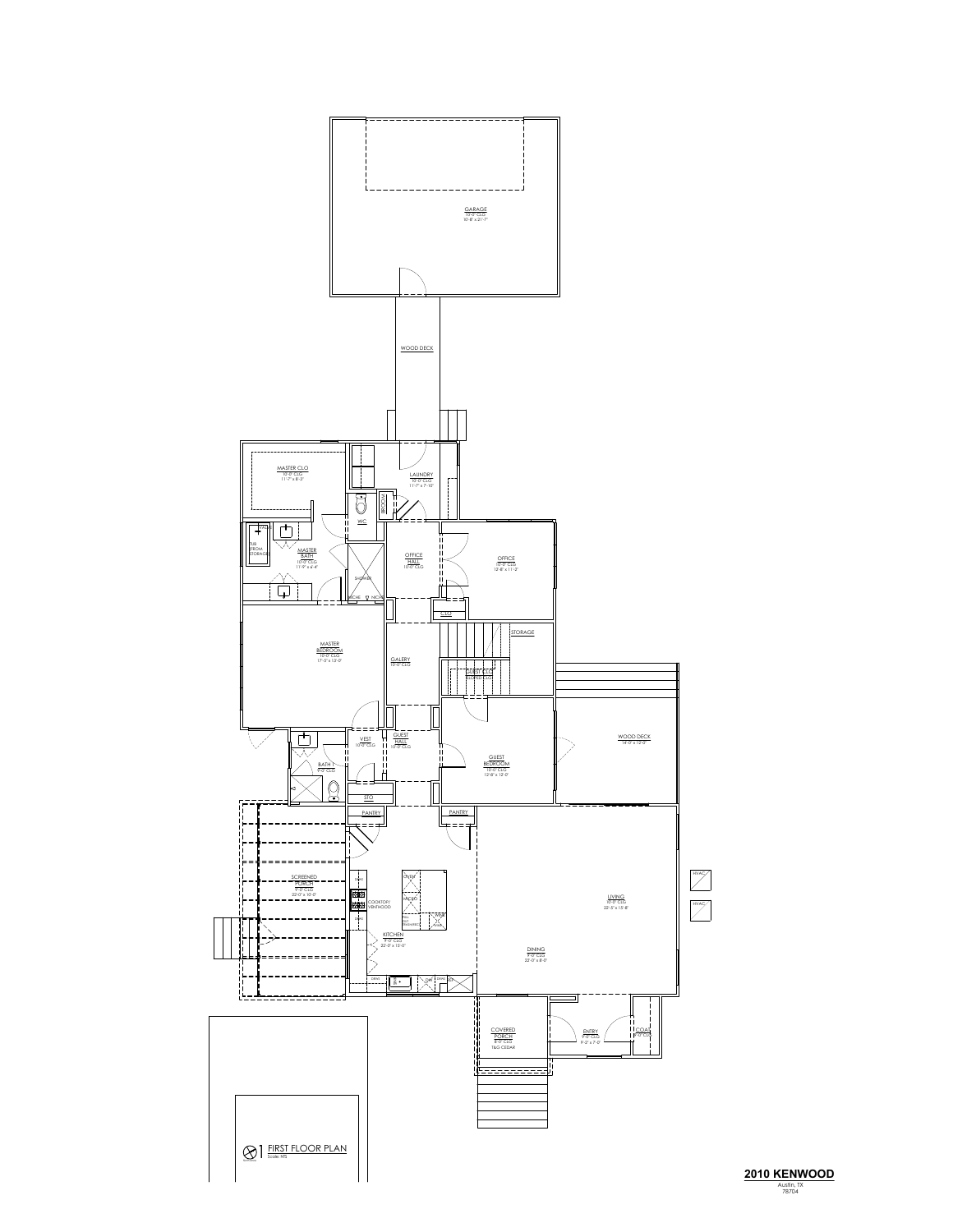

**2010 KENWOOD**<br> *Austin, TX***<br>
78704**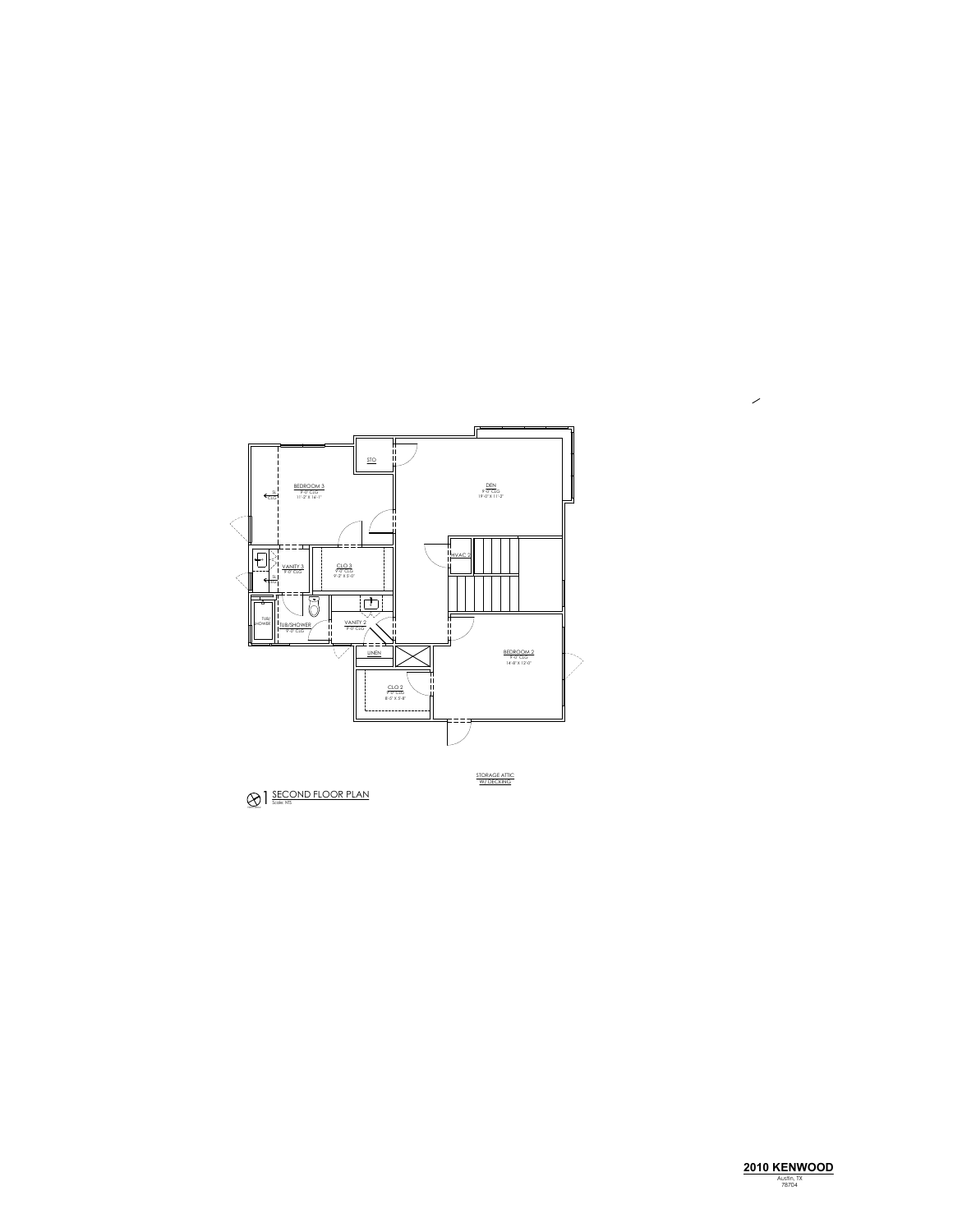

 $\mathcal{S}_{\mathcal{A}}$